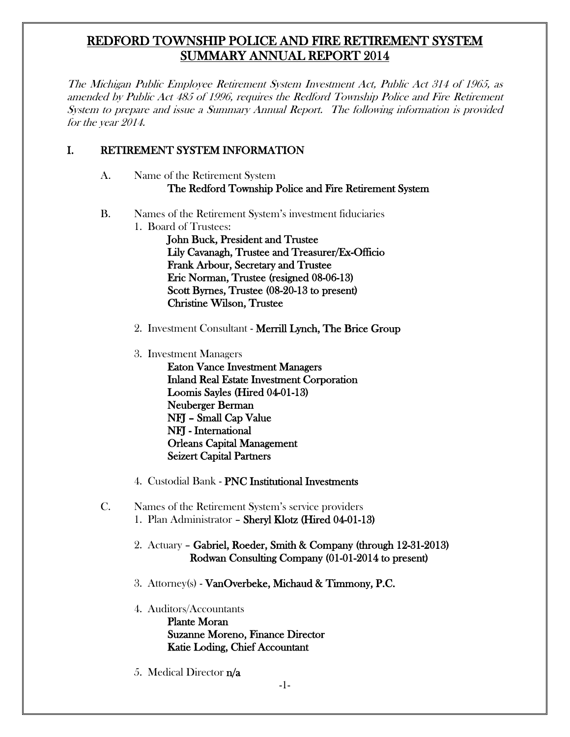# REDFORD TOWNSHIP POLICE AND FIRE RETIREMENT SYSTEM SUMMARY ANNUAL REPORT 2014

The Michigan Public Employee Retirement System Investment Act, Public Act 314 of 1965, as amended by Public Act 485 of 1996, requires the Redford Township Police and Fire Retirement System to prepare and issue a Summary Annual Report. The following information is provided for the year 2014.

### I. RETIREMENT SYSTEM INFORMATION

- A. Name of the Retirement System The Redford Township Police and Fire Retirement System
- B. Names of the Retirement System's investment fiduciaries 1. Board of Trustees:

John Buck, President and Trustee Lily Cavanagh, Trustee and Treasurer/Ex-Officio Frank Arbour, Secretary and Trustee Eric Norman, Trustee (resigned 08-06-13) Scott Byrnes, Trustee (08-20-13 to present) Christine Wilson, Trustee

- 2. Investment Consultant Merrill Lynch, The Brice Group
- 3. Investment Managers

Eaton Vance Investment Managers Inland Real Estate Investment Corporation Loomis Sayles (Hired 04-01-13) Neuberger Berman NFJ – Small Cap Value NFJ - International Orleans Capital Management Seizert Capital Partners

- 4. Custodial Bank PNC Institutional Investments
- C. Names of the Retirement System's service providers 1. Plan Administrator – Sheryl Klotz (Hired 04-01-13)
	- 2. Actuary Gabriel, Roeder, Smith & Company (through 12-31-2013) Rodwan Consulting Company (01-01-2014 to present)
	- 3. Attorney(s) VanOverbeke, Michaud & Timmony, P.C.
	- 4. Auditors/Accountants Plante Moran Suzanne Moreno, Finance Director Katie Loding, Chief Accountant
	- 5. Medical Director n/a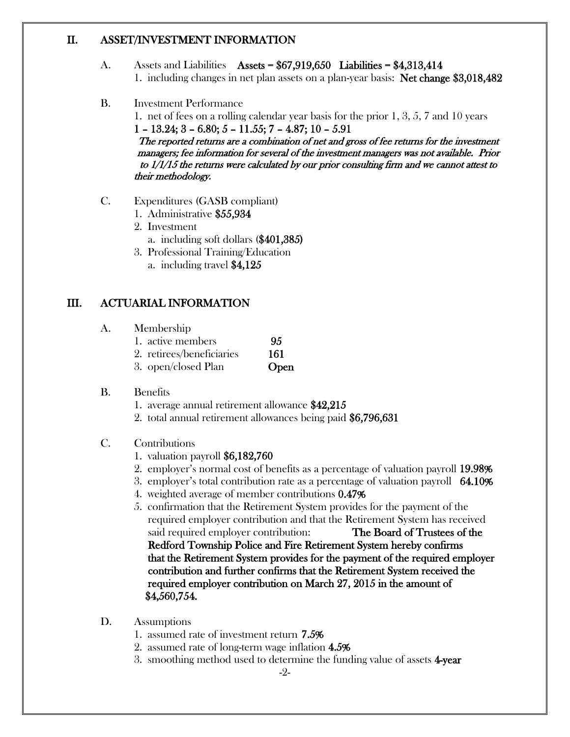### II. ASSET/INVESTMENT INFORMATION

- A. Assets and Liabilities Assets =  $$67,919,650$  Liabilities =  $$4,313,414$ 1. including changes in net plan assets on a plan-year basis: Net change \$3,018,482
- B. Investment Performance

1. net of fees on a rolling calendar year basis for the prior 1, 3, 5, 7 and 10 years  $1 - 13.24$ ;  $3 - 6.80$ ;  $5 - 11.55$ ;  $7 - 4.87$ ;  $10 - 5.91$ The reported returns are a combination of net and gross of fee returns for the investment managers; fee information for several of the investment managers was not available. Prior to 1/1/15 the returns were calculated by our prior consulting firm and we cannot attest to their methodology.

- C. Expenditures (GASB compliant)
	- 1. Administrative \$55,934
	- 2. Investment
		- a. including soft dollars (\$401,385)
	- 3. Professional Training/Education
		- a. including travel \$4,125

## III. ACTUARIAL INFORMATION

- A. Membership
	- 1. active members 95
	- 2. retirees/beneficiaries 161
	- 3. open/closed Plan **Open**

#### B. Benefits

- 1. average annual retirement allowance \$42,215
- 2. total annual retirement allowances being paid \$6,796,631
- C. Contributions
	- 1. valuation payroll \$6,182,760
	- 2. employer's normal cost of benefits as a percentage of valuation payroll 19.98%
	- 3. employer's total contribution rate as a percentage of valuation payroll 64.10%
	- 4. weighted average of member contributions 0.47%
	- 5. confirmation that the Retirement System provides for the payment of the required employer contribution and that the Retirement System has received said required employer contribution: The Board of Trustees of the Redford Township Police and Fire Retirement System hereby confirms that the Retirement System provides for the payment of the required employer contribution and further confirms that the Retirement System received the required employer contribution on March 27, 2015 in the amount of \$4,560,754.
- D. Assumptions
	- 1. assumed rate of investment return 7.5%
	- 2. assumed rate of long-term wage inflation 4.5%
	- 3. smoothing method used to determine the funding value of assets 4-year